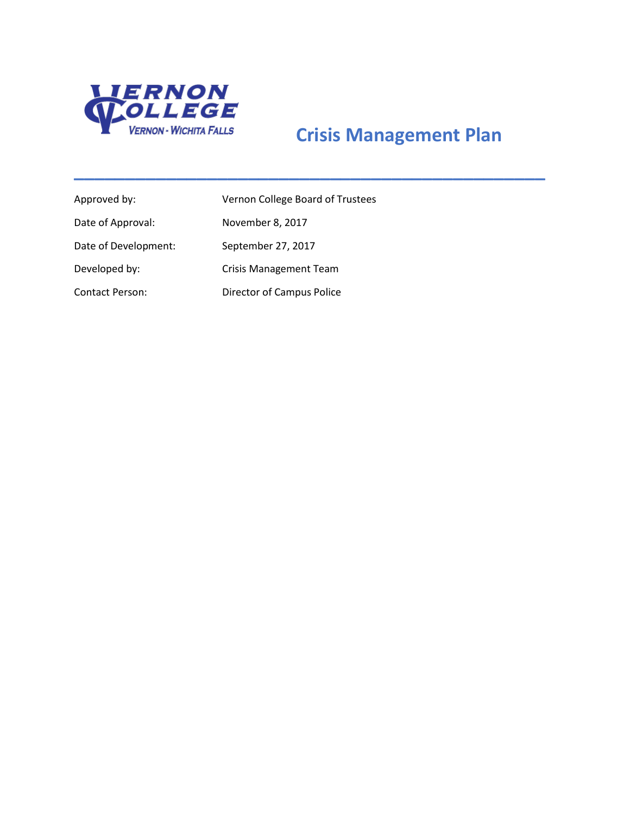

# **Crisis Management Plan**

**\_\_\_\_\_\_\_\_\_\_\_\_\_\_\_\_\_\_\_\_\_\_\_\_\_\_\_\_\_\_\_\_\_\_\_\_\_\_\_\_\_\_\_\_\_\_**

| Approved by:           | Vernon College Board of Trustees |
|------------------------|----------------------------------|
| Date of Approval:      | November 8, 2017                 |
| Date of Development:   | September 27, 2017               |
| Developed by:          | <b>Crisis Management Team</b>    |
| <b>Contact Person:</b> | Director of Campus Police        |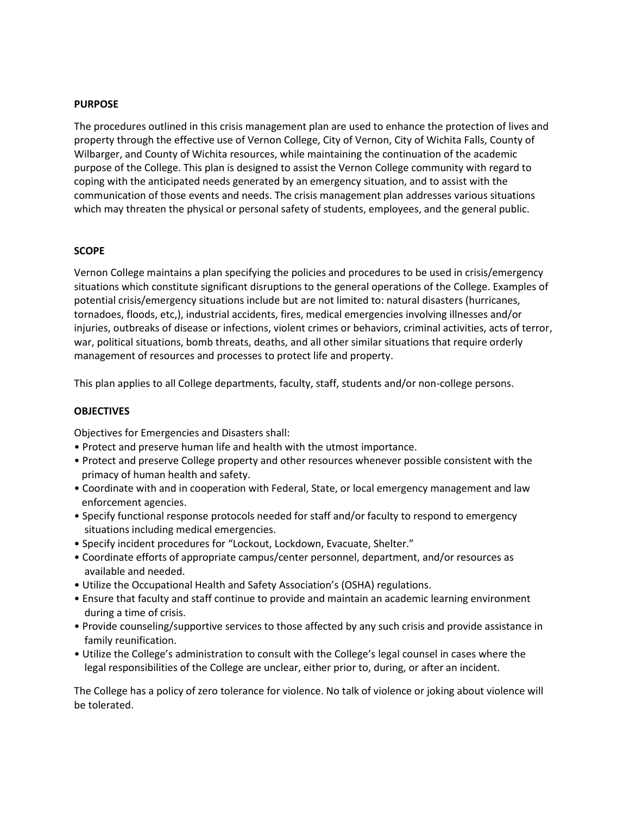### **PURPOSE**

The procedures outlined in this crisis management plan are used to enhance the protection of lives and property through the effective use of Vernon College, City of Vernon, City of Wichita Falls, County of Wilbarger, and County of Wichita resources, while maintaining the continuation of the academic purpose of the College. This plan is designed to assist the Vernon College community with regard to coping with the anticipated needs generated by an emergency situation, and to assist with the communication of those events and needs. The crisis management plan addresses various situations which may threaten the physical or personal safety of students, employees, and the general public.

#### **SCOPE**

Vernon College maintains a plan specifying the policies and procedures to be used in crisis/emergency situations which constitute significant disruptions to the general operations of the College. Examples of potential crisis/emergency situations include but are not limited to: natural disasters (hurricanes, tornadoes, floods, etc,), industrial accidents, fires, medical emergencies involving illnesses and/or injuries, outbreaks of disease or infections, violent crimes or behaviors, criminal activities, acts of terror, war, political situations, bomb threats, deaths, and all other similar situations that require orderly management of resources and processes to protect life and property.

This plan applies to all College departments, faculty, staff, students and/or non-college persons.

#### **OBJECTIVES**

Objectives for Emergencies and Disasters shall:

- Protect and preserve human life and health with the utmost importance.
- Protect and preserve College property and other resources whenever possible consistent with the primacy of human health and safety.
- Coordinate with and in cooperation with Federal, State, or local emergency management and law enforcement agencies.
- Specify functional response protocols needed for staff and/or faculty to respond to emergency situations including medical emergencies.
- Specify incident procedures for "Lockout, Lockdown, Evacuate, Shelter."
- Coordinate efforts of appropriate campus/center personnel, department, and/or resources as available and needed.
- Utilize the Occupational Health and Safety Association's (OSHA) regulations.
- Ensure that faculty and staff continue to provide and maintain an academic learning environment during a time of crisis.
- Provide counseling/supportive services to those affected by any such crisis and provide assistance in family reunification.
- Utilize the College's administration to consult with the College's legal counsel in cases where the legal responsibilities of the College are unclear, either prior to, during, or after an incident.

The College has a policy of zero tolerance for violence. No talk of violence or joking about violence will be tolerated.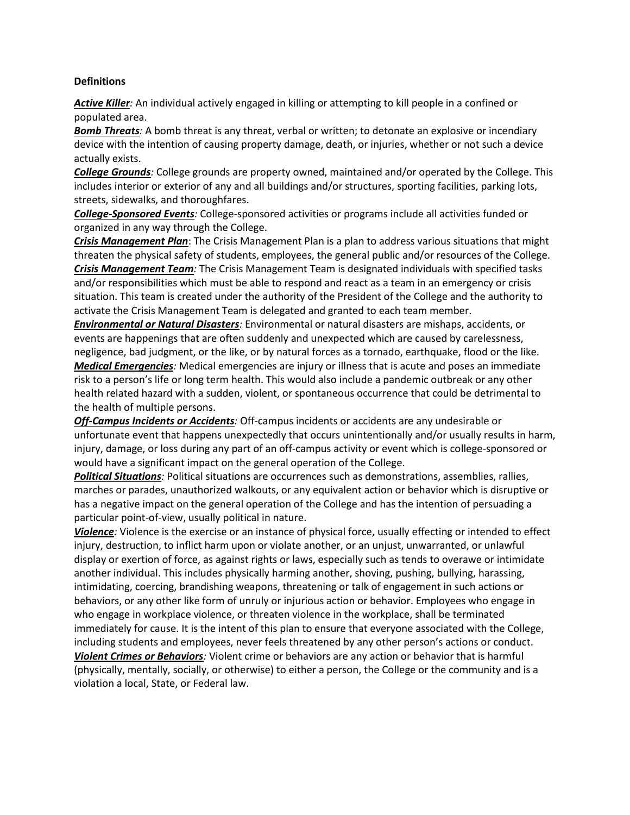#### **Definitions**

*Active Killer:* An individual actively engaged in killing or attempting to kill people in a confined or populated area.

*Bomb Threats:* A bomb threat is any threat, verbal or written; to detonate an explosive or incendiary device with the intention of causing property damage, death, or injuries, whether or not such a device actually exists.

*College Grounds:* College grounds are property owned, maintained and/or operated by the College. This includes interior or exterior of any and all buildings and/or structures, sporting facilities, parking lots, streets, sidewalks, and thoroughfares.

*College-Sponsored Events:* College-sponsored activities or programs include all activities funded or organized in any way through the College.

*Crisis Management Plan*: The Crisis Management Plan is a plan to address various situations that might threaten the physical safety of students, employees, the general public and/or resources of the College. *Crisis Management Team:* The Crisis Management Team is designated individuals with specified tasks and/or responsibilities which must be able to respond and react as a team in an emergency or crisis situation. This team is created under the authority of the President of the College and the authority to activate the Crisis Management Team is delegated and granted to each team member.

*Environmental or Natural Disasters:* Environmental or natural disasters are mishaps, accidents, or events are happenings that are often suddenly and unexpected which are caused by carelessness, negligence, bad judgment, or the like, or by natural forces as a tornado, earthquake, flood or the like. *Medical Emergencies:* Medical emergencies are injury or illness that is acute and poses an immediate risk to a person's life or long term health. This would also include a pandemic outbreak or any other health related hazard with a sudden, violent, or spontaneous occurrence that could be detrimental to the health of multiple persons.

*Off-Campus Incidents or Accidents:* Off-campus incidents or accidents are any undesirable or unfortunate event that happens unexpectedly that occurs unintentionally and/or usually results in harm, injury, damage, or loss during any part of an off-campus activity or event which is college-sponsored or would have a significant impact on the general operation of the College.

*Political Situations:* Political situations are occurrences such as demonstrations, assemblies, rallies, marches or parades, unauthorized walkouts, or any equivalent action or behavior which is disruptive or has a negative impact on the general operation of the College and has the intention of persuading a particular point-of-view, usually political in nature.

*Violence:* Violence is the exercise or an instance of physical force, usually effecting or intended to effect injury, destruction, to inflict harm upon or violate another, or an unjust, unwarranted, or unlawful display or exertion of force, as against rights or laws, especially such as tends to overawe or intimidate another individual. This includes physically harming another, shoving, pushing, bullying, harassing, intimidating, coercing, brandishing weapons, threatening or talk of engagement in such actions or behaviors, or any other like form of unruly or injurious action or behavior. Employees who engage in who engage in workplace violence, or threaten violence in the workplace, shall be terminated immediately for cause. It is the intent of this plan to ensure that everyone associated with the College, including students and employees, never feels threatened by any other person's actions or conduct. *Violent Crimes or Behaviors:* Violent crime or behaviors are any action or behavior that is harmful (physically, mentally, socially, or otherwise) to either a person, the College or the community and is a violation a local, State, or Federal law.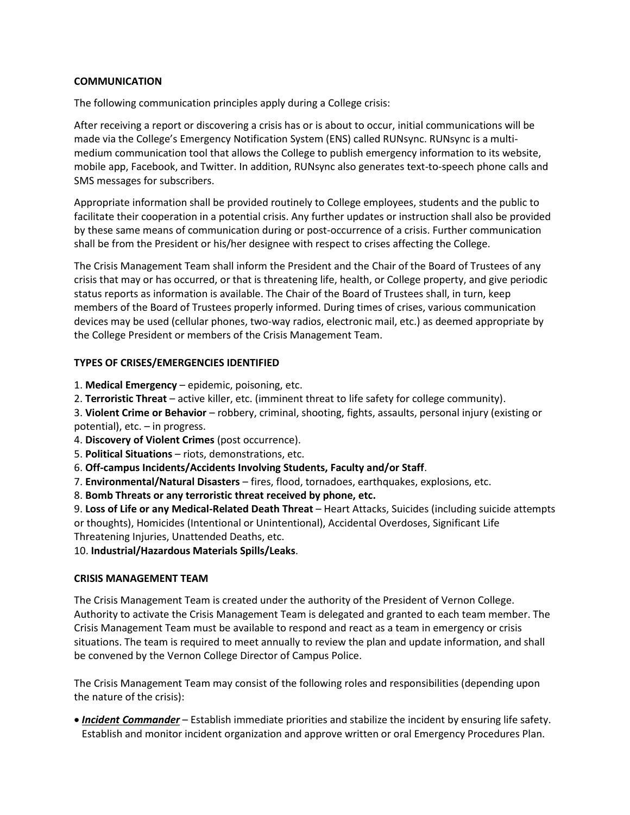# **COMMUNICATION**

The following communication principles apply during a College crisis:

After receiving a report or discovering a crisis has or is about to occur, initial communications will be made via the College's Emergency Notification System (ENS) called RUNsync. RUNsync is a multimedium communication tool that allows the College to publish emergency information to its website, mobile app, Facebook, and Twitter. In addition, RUNsync also generates text-to-speech phone calls and SMS messages for subscribers.

Appropriate information shall be provided routinely to College employees, students and the public to facilitate their cooperation in a potential crisis. Any further updates or instruction shall also be provided by these same means of communication during or post-occurrence of a crisis. Further communication shall be from the President or his/her designee with respect to crises affecting the College.

The Crisis Management Team shall inform the President and the Chair of the Board of Trustees of any crisis that may or has occurred, or that is threatening life, health, or College property, and give periodic status reports as information is available. The Chair of the Board of Trustees shall, in turn, keep members of the Board of Trustees properly informed. During times of crises, various communication devices may be used (cellular phones, two-way radios, electronic mail, etc.) as deemed appropriate by the College President or members of the Crisis Management Team.

# **TYPES OF CRISES/EMERGENCIES IDENTIFIED**

- 1. **Medical Emergency** epidemic, poisoning, etc.
- 2. **Terroristic Threat** active killer, etc. (imminent threat to life safety for college community).

3. **Violent Crime or Behavior** – robbery, criminal, shooting, fights, assaults, personal injury (existing or potential), etc. – in progress.

- 4. **Discovery of Violent Crimes** (post occurrence).
- 5. **Political Situations** riots, demonstrations, etc.
- 6. **Off-campus Incidents/Accidents Involving Students, Faculty and/or Staff**.
- 7. **Environmental/Natural Disasters** fires, flood, tornadoes, earthquakes, explosions, etc.
- 8. **Bomb Threats or any terroristic threat received by phone, etc.**

9. **Loss of Life or any Medical-Related Death Threat** – Heart Attacks, Suicides (including suicide attempts or thoughts), Homicides (Intentional or Unintentional), Accidental Overdoses, Significant Life Threatening Injuries, Unattended Deaths, etc.

10. **Industrial/Hazardous Materials Spills/Leaks**.

# **CRISIS MANAGEMENT TEAM**

The Crisis Management Team is created under the authority of the President of Vernon College. Authority to activate the Crisis Management Team is delegated and granted to each team member. The Crisis Management Team must be available to respond and react as a team in emergency or crisis situations. The team is required to meet annually to review the plan and update information, and shall be convened by the Vernon College Director of Campus Police.

The Crisis Management Team may consist of the following roles and responsibilities (depending upon the nature of the crisis):

 *Incident Commander* – Establish immediate priorities and stabilize the incident by ensuring life safety. Establish and monitor incident organization and approve written or oral Emergency Procedures Plan.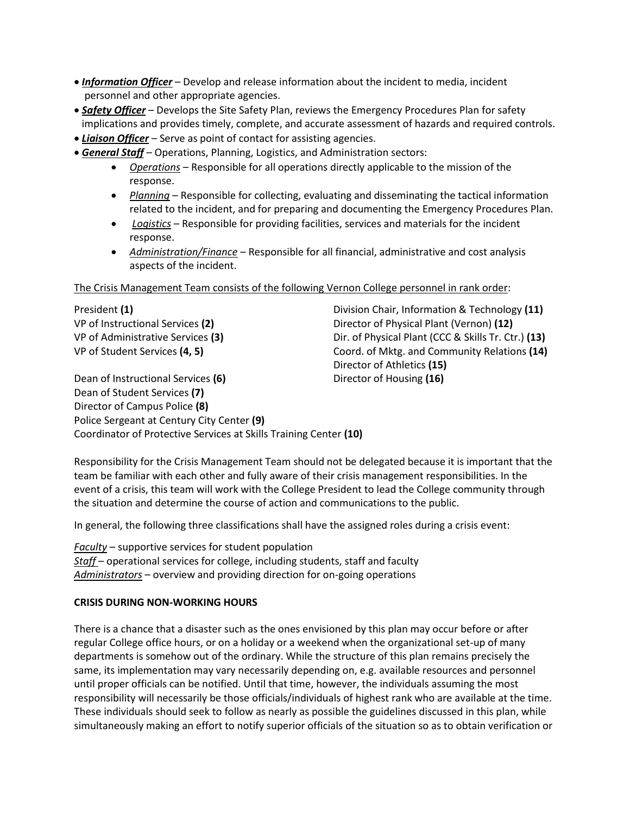- *Information Officer* Develop and release information about the incident to media, incident personnel and other appropriate agencies.
- *Safety Officer* Develops the Site Safety Plan, reviews the Emergency Procedures Plan for safety implications and provides timely, complete, and accurate assessment of hazards and required controls.
- *Liaison Officer* Serve as point of contact for assisting agencies.
- *General Staff* Operations, Planning, Logistics, and Administration sectors:
	- *Operations* Responsible for all operations directly applicable to the mission of the response.
	- *Planning* Responsible for collecting, evaluating and disseminating the tactical information related to the incident, and for preparing and documenting the Emergency Procedures Plan.
	- *Logistics* Responsible for providing facilities, services and materials for the incident response.
	- *Administration/Finance* Responsible for all financial, administrative and cost analysis aspects of the incident.

The Crisis Management Team consists of the following Vernon College personnel in rank order:

President **(1)** Division Chair, Information & Technology **(11)** VP of Instructional Services **(2)** Director of Physical Plant (Vernon) **(12)** VP of Administrative Services **(3)** Dir. of Physical Plant (CCC & Skills Tr. Ctr.) **(13)** VP of Student Services **(4, 5)** Coord. of Mktg. and Community Relations **(14)** Director of Athletics **(15)**

Dean of Instructional Services (6) Director of Housing (16) Dean of Student Services **(7)** Director of Campus Police **(8)** Police Sergeant at Century City Center **(9)** Coordinator of Protective Services at Skills Training Center **(10)**

Responsibility for the Crisis Management Team should not be delegated because it is important that the team be familiar with each other and fully aware of their crisis management responsibilities. In the event of a crisis, this team will work with the College President to lead the College community through the situation and determine the course of action and communications to the public.

In general, the following three classifications shall have the assigned roles during a crisis event:

*Faculty* – supportive services for student population *Staff* – operational services for college, including students, staff and faculty *Administrators* – overview and providing direction for on-going operations

# **CRISIS DURING NON-WORKING HOURS**

There is a chance that a disaster such as the ones envisioned by this plan may occur before or after regular College office hours, or on a holiday or a weekend when the organizational set-up of many departments is somehow out of the ordinary. While the structure of this plan remains precisely the same, its implementation may vary necessarily depending on, e.g. available resources and personnel until proper officials can be notified. Until that time, however, the individuals assuming the most responsibility will necessarily be those officials/individuals of highest rank who are available at the time. These individuals should seek to follow as nearly as possible the guidelines discussed in this plan, while simultaneously making an effort to notify superior officials of the situation so as to obtain verification or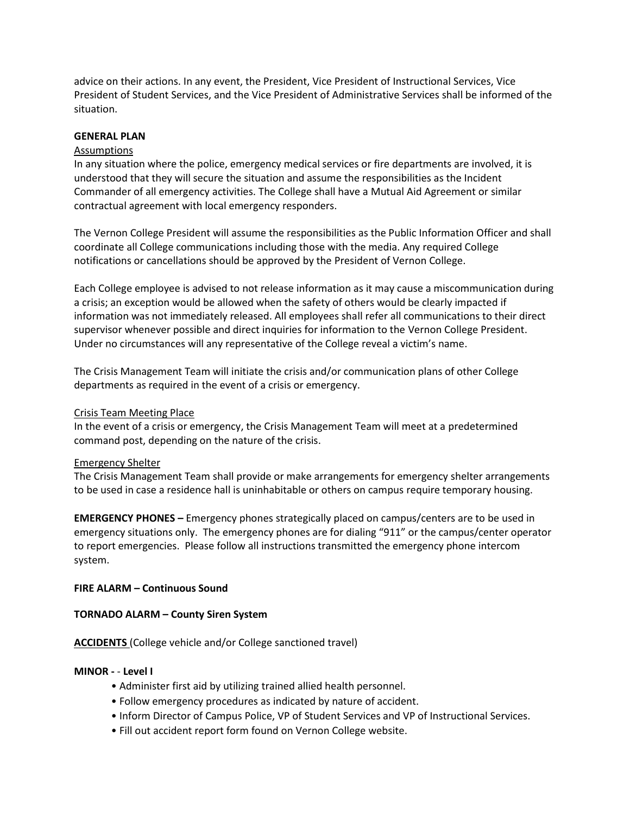advice on their actions. In any event, the President, Vice President of Instructional Services, Vice President of Student Services, and the Vice President of Administrative Services shall be informed of the situation.

#### **GENERAL PLAN**

#### Assumptions

In any situation where the police, emergency medical services or fire departments are involved, it is understood that they will secure the situation and assume the responsibilities as the Incident Commander of all emergency activities. The College shall have a Mutual Aid Agreement or similar contractual agreement with local emergency responders.

The Vernon College President will assume the responsibilities as the Public Information Officer and shall coordinate all College communications including those with the media. Any required College notifications or cancellations should be approved by the President of Vernon College.

Each College employee is advised to not release information as it may cause a miscommunication during a crisis; an exception would be allowed when the safety of others would be clearly impacted if information was not immediately released. All employees shall refer all communications to their direct supervisor whenever possible and direct inquiries for information to the Vernon College President. Under no circumstances will any representative of the College reveal a victim's name.

The Crisis Management Team will initiate the crisis and/or communication plans of other College departments as required in the event of a crisis or emergency.

#### Crisis Team Meeting Place

In the event of a crisis or emergency, the Crisis Management Team will meet at a predetermined command post, depending on the nature of the crisis.

#### Emergency Shelter

The Crisis Management Team shall provide or make arrangements for emergency shelter arrangements to be used in case a residence hall is uninhabitable or others on campus require temporary housing.

**EMERGENCY PHONES –** Emergency phones strategically placed on campus/centers are to be used in emergency situations only. The emergency phones are for dialing "911" or the campus/center operator to report emergencies. Please follow all instructions transmitted the emergency phone intercom system.

# **FIRE ALARM – Continuous Sound**

#### **TORNADO ALARM – County Siren System**

**ACCIDENTS** (College vehicle and/or College sanctioned travel)

#### **MINOR -** - **Level I**

- Administer first aid by utilizing trained allied health personnel.
- Follow emergency procedures as indicated by nature of accident.
- Inform Director of Campus Police, VP of Student Services and VP of Instructional Services.
- Fill out accident report form found on Vernon College website.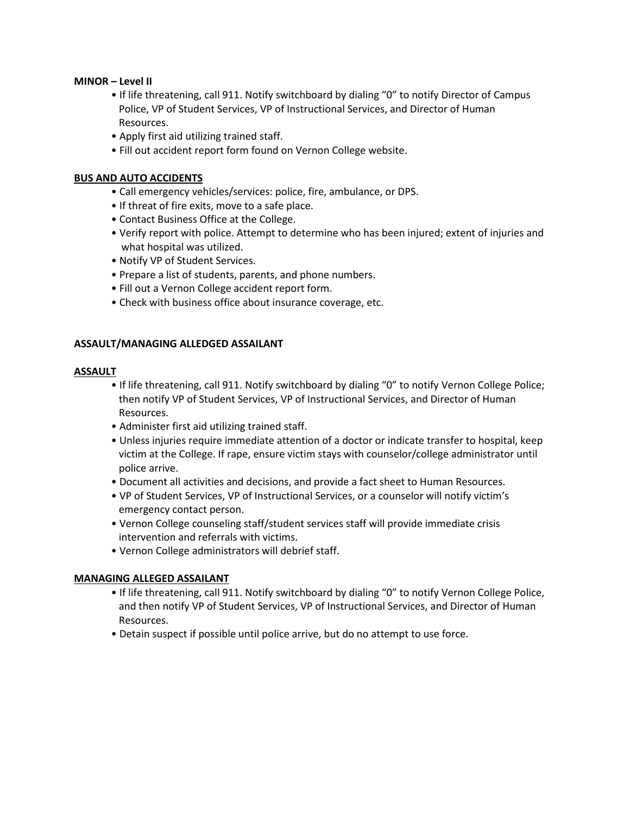#### **MINOR – Level II**

- If life threatening, call 911. Notify switchboard by dialing "0" to notify Director of Campus Police, VP of Student Services, VP of Instructional Services, and Director of Human Resources.
- Apply first aid utilizing trained staff.
- Fill out accident report form found on Vernon College website.

### **BUS AND AUTO ACCIDENTS**

- Call emergency vehicles/services: police, fire, ambulance, or DPS.
- If threat of fire exits, move to a safe place.
- Contact Business Office at the College.
- Verify report with police. Attempt to determine who has been injured; extent of injuries and what hospital was utilized.
- Notify VP of Student Services.
- Prepare a list of students, parents, and phone numbers.
- Fill out a Vernon College accident report form.
- Check with business office about insurance coverage, etc.

#### **ASSAULT/MANAGING ALLEDGED ASSAILANT**

#### **ASSAULT**

- If life threatening, call 911. Notify switchboard by dialing "0" to notify Vernon College Police; then notify VP of Student Services, VP of Instructional Services, and Director of Human Resources.
- Administer first aid utilizing trained staff.
- Unless injuries require immediate attention of a doctor or indicate transfer to hospital, keep victim at the College. If rape, ensure victim stays with counselor/college administrator until police arrive.
- Document all activities and decisions, and provide a fact sheet to Human Resources.
- VP of Student Services, VP of Instructional Services, or a counselor will notify victim's emergency contact person.
- Vernon College counseling staff/student services staff will provide immediate crisis intervention and referrals with victims.
- Vernon College administrators will debrief staff.

#### **MANAGING ALLEGED ASSAILANT**

- If life threatening, call 911. Notify switchboard by dialing "0" to notify Vernon College Police, and then notify VP of Student Services, VP of Instructional Services, and Director of Human Resources.
- Detain suspect if possible until police arrive, but do no attempt to use force.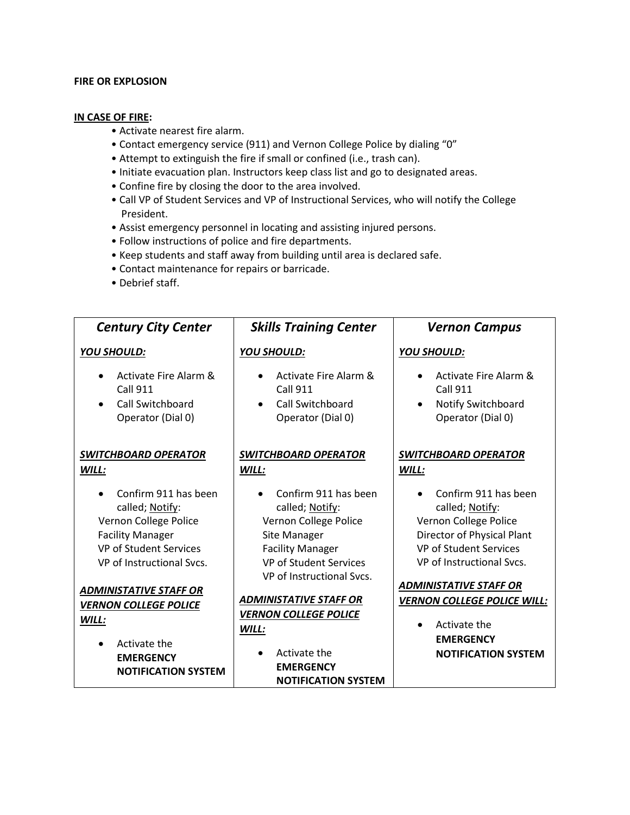#### **FIRE OR EXPLOSION**

#### **IN CASE OF FIRE:**

- Activate nearest fire alarm.
- Contact emergency service (911) and Vernon College Police by dialing "0"
- Attempt to extinguish the fire if small or confined (i.e., trash can).
- Initiate evacuation plan. Instructors keep class list and go to designated areas.
- Confine fire by closing the door to the area involved.
- Call VP of Student Services and VP of Instructional Services, who will notify the College President.
- Assist emergency personnel in locating and assisting injured persons.
- Follow instructions of police and fire departments.
- Keep students and staff away from building until area is declared safe.
- Contact maintenance for repairs or barricade.
- Debrief staff.

| <b>Century City Center</b>                                                                                                                                | <b>Skills Training Center</b>                                                                                                                                             | <b>Vernon Campus</b>                                                                                                                                         |
|-----------------------------------------------------------------------------------------------------------------------------------------------------------|---------------------------------------------------------------------------------------------------------------------------------------------------------------------------|--------------------------------------------------------------------------------------------------------------------------------------------------------------|
| <b>YOU SHOULD:</b>                                                                                                                                        | <b>YOU SHOULD:</b>                                                                                                                                                        | YOU SHOULD:                                                                                                                                                  |
| Activate Fire Alarm &<br><b>Call 911</b><br><b>Call Switchboard</b><br>$\bullet$<br>Operator (Dial 0)                                                     | Activate Fire Alarm &<br><b>Call 911</b><br><b>Call Switchboard</b><br>$\bullet$<br>Operator (Dial 0)                                                                     | <b>Activate Fire Alarm &amp;</b><br><b>Call 911</b><br>Notify Switchboard<br>$\bullet$<br>Operator (Dial 0)                                                  |
| <b>SWITCHBOARD OPERATOR</b><br>WILL:                                                                                                                      | <b>SWITCHBOARD OPERATOR</b><br>WILL:                                                                                                                                      | <b>SWITCHBOARD OPERATOR</b><br>WILL:                                                                                                                         |
| Confirm 911 has been<br>called; Notify:<br>Vernon College Police<br><b>Facility Manager</b><br><b>VP of Student Services</b><br>VP of Instructional Sycs. | Confirm 911 has been<br>called; Notify:<br>Vernon College Police<br>Site Manager<br><b>Facility Manager</b><br><b>VP of Student Services</b><br>VP of Instructional Sycs. | Confirm 911 has been<br>called; Notify:<br>Vernon College Police<br>Director of Physical Plant<br><b>VP of Student Services</b><br>VP of Instructional Sycs. |
| <b>ADMINISTATIVE STAFF OR</b><br><b>VERNON COLLEGE POLICE</b><br>WILL:<br>Activate the<br><b>EMERGENCY</b><br><b>NOTIFICATION SYSTEM</b>                  | <b>ADMINISTATIVE STAFF OR</b><br><b>VERNON COLLEGE POLICE</b><br>WILL:<br>Activate the<br><b>EMERGENCY</b><br><b>NOTIFICATION SYSTEM</b>                                  | <b>ADMINISTATIVE STAFF OR</b><br><b>VERNON COLLEGE POLICE WILL:</b><br>Activate the<br><b>EMERGENCY</b><br><b>NOTIFICATION SYSTEM</b>                        |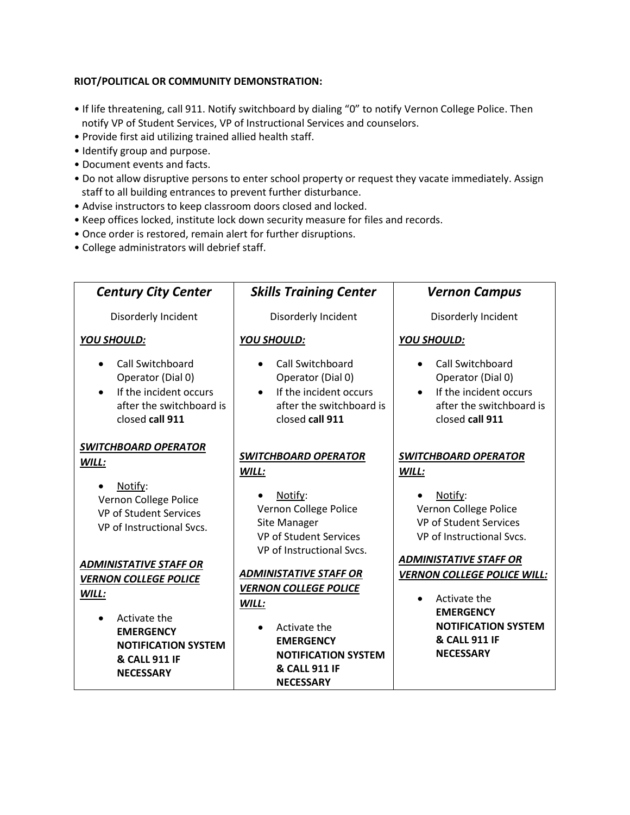# **RIOT/POLITICAL OR COMMUNITY DEMONSTRATION:**

- If life threatening, call 911. Notify switchboard by dialing "0" to notify Vernon College Police. Then notify VP of Student Services, VP of Instructional Services and counselors.
- Provide first aid utilizing trained allied health staff.
- Identify group and purpose.
- Document events and facts.
- Do not allow disruptive persons to enter school property or request they vacate immediately. Assign staff to all building entrances to prevent further disturbance.
- Advise instructors to keep classroom doors closed and locked.
- Keep offices locked, institute lock down security measure for files and records.
- Once order is restored, remain alert for further disruptions.
- College administrators will debrief staff.

| <b>Century City Center</b>                                                                                     | <b>Skills Training Center</b>                                                                                  | <b>Vernon Campus</b>                                                                                           |
|----------------------------------------------------------------------------------------------------------------|----------------------------------------------------------------------------------------------------------------|----------------------------------------------------------------------------------------------------------------|
| Disorderly Incident                                                                                            | Disorderly Incident                                                                                            | Disorderly Incident                                                                                            |
| <b>YOU SHOULD:</b>                                                                                             | <b>YOU SHOULD:</b>                                                                                             | <b>YOU SHOULD:</b>                                                                                             |
| Call Switchboard<br>Operator (Dial 0)<br>If the incident occurs<br>after the switchboard is<br>closed call 911 | Call Switchboard<br>Operator (Dial 0)<br>If the incident occurs<br>after the switchboard is<br>closed call 911 | Call Switchboard<br>Operator (Dial 0)<br>If the incident occurs<br>after the switchboard is<br>closed call 911 |
| <b>SWITCHBOARD OPERATOR</b><br>WILL:                                                                           | <b>SWITCHBOARD OPERATOR</b><br>WILL:                                                                           | <b>SWITCHBOARD OPERATOR</b><br>WILL:                                                                           |
| Notify:<br>Vernon College Police<br><b>VP of Student Services</b><br>VP of Instructional Svcs.                 | Notify:<br>Vernon College Police<br>Site Manager<br>VP of Student Services<br>VP of Instructional Svcs.        | Notify:<br>Vernon College Police<br>VP of Student Services<br>VP of Instructional Svcs.                        |
| <b>ADMINISTATIVE STAFF OR</b><br><b>VERNON COLLEGE POLICE</b><br>WILL:                                         | <b>ADMINISTATIVE STAFF OR</b><br><b>VERNON COLLEGE POLICE</b><br>WILL:                                         | <b>ADMINISTATIVE STAFF OR</b><br><b>VERNON COLLEGE POLICE WILL:</b><br>Activate the                            |
| Activate the<br><b>EMERGENCY</b><br><b>NOTIFICATION SYSTEM</b><br>& CALL 911 IF<br><b>NECESSARY</b>            | Activate the<br><b>EMERGENCY</b><br><b>NOTIFICATION SYSTEM</b><br>& CALL 911 IF<br><b>NECESSARY</b>            | <b>EMERGENCY</b><br><b>NOTIFICATION SYSTEM</b><br>& CALL 911 IF<br><b>NECESSARY</b>                            |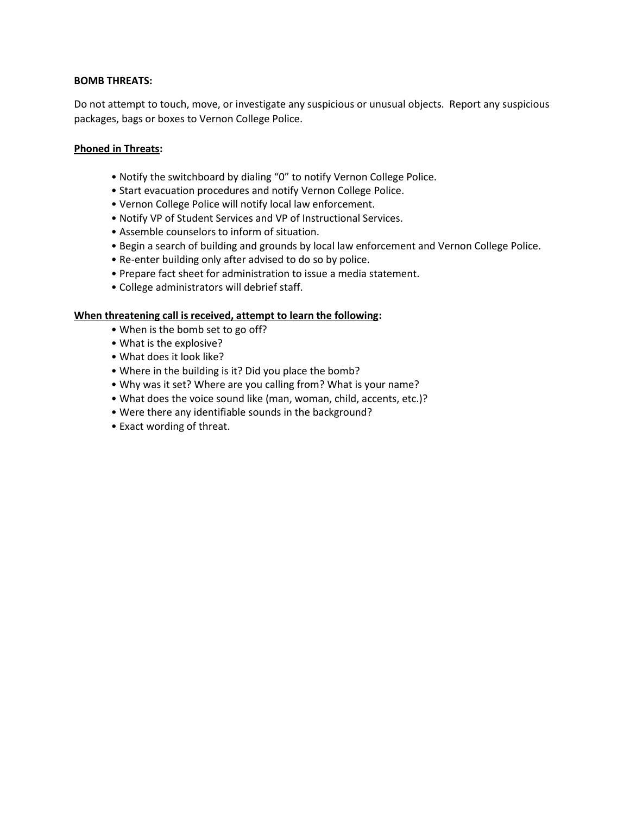#### **BOMB THREATS:**

Do not attempt to touch, move, or investigate any suspicious or unusual objects. Report any suspicious packages, bags or boxes to Vernon College Police.

#### **Phoned in Threats:**

- Notify the switchboard by dialing "0" to notify Vernon College Police.
- Start evacuation procedures and notify Vernon College Police.
- Vernon College Police will notify local law enforcement.
- Notify VP of Student Services and VP of Instructional Services.
- Assemble counselors to inform of situation.
- Begin a search of building and grounds by local law enforcement and Vernon College Police.
- Re-enter building only after advised to do so by police.
- Prepare fact sheet for administration to issue a media statement.
- College administrators will debrief staff.

#### **When threatening call is received, attempt to learn the following:**

- When is the bomb set to go off?
- What is the explosive?
- What does it look like?
- Where in the building is it? Did you place the bomb?
- Why was it set? Where are you calling from? What is your name?
- What does the voice sound like (man, woman, child, accents, etc.)?
- Were there any identifiable sounds in the background?
- Exact wording of threat.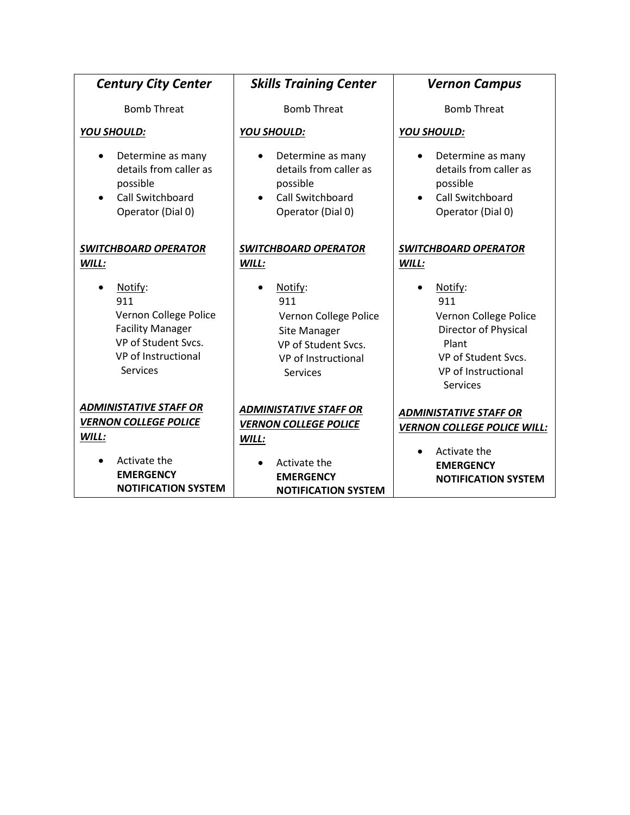| <b>Century City Center</b>                                                                                                   | <b>Skills Training Center</b>                                                                                            | <b>Vernon Campus</b>                                                                                                                      |
|------------------------------------------------------------------------------------------------------------------------------|--------------------------------------------------------------------------------------------------------------------------|-------------------------------------------------------------------------------------------------------------------------------------------|
| <b>Bomb Threat</b>                                                                                                           | <b>Bomb Threat</b>                                                                                                       | <b>Bomb Threat</b>                                                                                                                        |
| <b>YOU SHOULD:</b>                                                                                                           | YOU SHOULD:                                                                                                              | <b>YOU SHOULD:</b>                                                                                                                        |
| Determine as many<br>٠<br>details from caller as<br>possible<br>Call Switchboard<br>Operator (Dial 0)                        | Determine as many<br>details from caller as<br>possible<br><b>Call Switchboard</b><br>Operator (Dial 0)                  | Determine as many<br>details from caller as<br>possible<br><b>Call Switchboard</b><br>Operator (Dial 0)                                   |
| <b>SWITCHBOARD OPERATOR</b><br>WILL:                                                                                         | <b>SWITCHBOARD OPERATOR</b><br>WILL:                                                                                     | <b>SWITCHBOARD OPERATOR</b><br>WILL:                                                                                                      |
| Notify:<br>911<br>Vernon College Police<br><b>Facility Manager</b><br>VP of Student Svcs.<br>VP of Instructional<br>Services | Notify:<br>911<br>Vernon College Police<br>Site Manager<br>VP of Student Svcs.<br>VP of Instructional<br><b>Services</b> | Notify:<br>911<br>Vernon College Police<br>Director of Physical<br>Plant<br>VP of Student Svcs.<br>VP of Instructional<br><b>Services</b> |
| <b>ADMINISTATIVE STAFF OR</b><br><b>VERNON COLLEGE POLICE</b><br>WILL:                                                       | <b>ADMINISTATIVE STAFF OR</b><br><b>VERNON COLLEGE POLICE</b><br>WILL:                                                   | <b>ADMINISTATIVE STAFF OR</b><br><b>VERNON COLLEGE POLICE WILL:</b><br>Activate the                                                       |
| Activate the<br><b>EMERGENCY</b><br><b>NOTIFICATION SYSTEM</b>                                                               | Activate the<br><b>EMERGENCY</b><br><b>NOTIFICATION SYSTEM</b>                                                           | <b>EMERGENCY</b><br><b>NOTIFICATION SYSTEM</b>                                                                                            |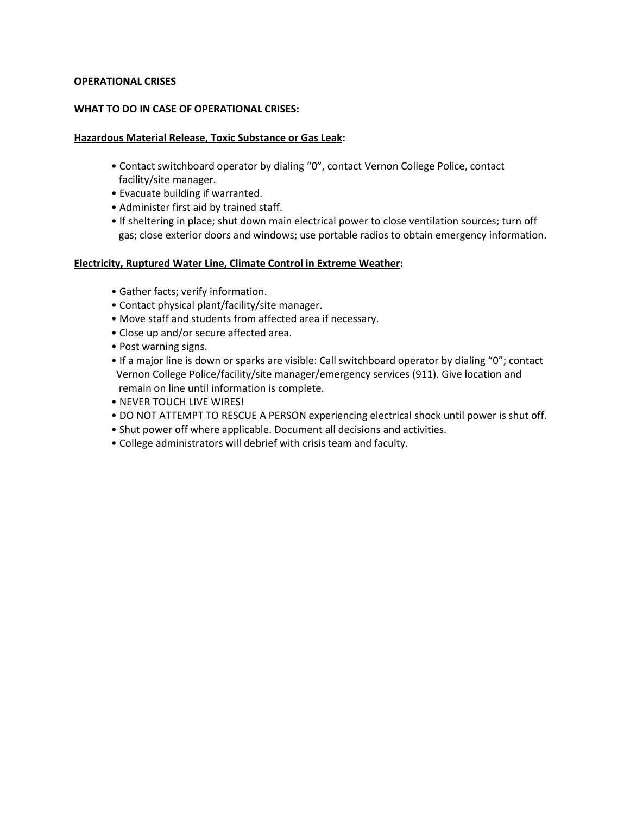# **OPERATIONAL CRISES**

#### **WHAT TO DO IN CASE OF OPERATIONAL CRISES:**

#### **Hazardous Material Release, Toxic Substance or Gas Leak:**

- Contact switchboard operator by dialing "0", contact Vernon College Police, contact facility/site manager.
- Evacuate building if warranted.
- Administer first aid by trained staff.
- If sheltering in place; shut down main electrical power to close ventilation sources; turn off gas; close exterior doors and windows; use portable radios to obtain emergency information.

#### **Electricity, Ruptured Water Line, Climate Control in Extreme Weather:**

- Gather facts; verify information.
- Contact physical plant/facility/site manager.
- Move staff and students from affected area if necessary.
- Close up and/or secure affected area.
- Post warning signs.
- If a major line is down or sparks are visible: Call switchboard operator by dialing "0"; contact Vernon College Police/facility/site manager/emergency services (911). Give location and remain on line until information is complete.
- NEVER TOUCH LIVE WIRES!
- DO NOT ATTEMPT TO RESCUE A PERSON experiencing electrical shock until power is shut off.
- Shut power off where applicable. Document all decisions and activities.
- College administrators will debrief with crisis team and faculty.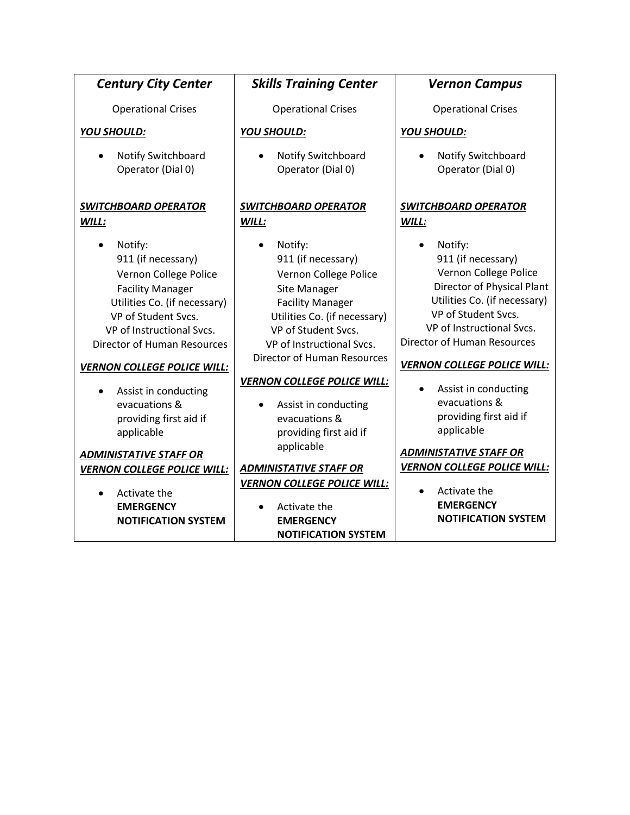| <b>Century City Center</b>                                                                                                                                                                                                                                                                                                                                          | <b>Skills Training Center</b>                                                                                                                                                                                                                                                                                                                      | <b>Vernon Campus</b>                                                                                                                                                                                                                                                                                                                                                   |
|---------------------------------------------------------------------------------------------------------------------------------------------------------------------------------------------------------------------------------------------------------------------------------------------------------------------------------------------------------------------|----------------------------------------------------------------------------------------------------------------------------------------------------------------------------------------------------------------------------------------------------------------------------------------------------------------------------------------------------|------------------------------------------------------------------------------------------------------------------------------------------------------------------------------------------------------------------------------------------------------------------------------------------------------------------------------------------------------------------------|
| <b>Operational Crises</b>                                                                                                                                                                                                                                                                                                                                           | <b>Operational Crises</b>                                                                                                                                                                                                                                                                                                                          | <b>Operational Crises</b>                                                                                                                                                                                                                                                                                                                                              |
| YOU SHOULD:                                                                                                                                                                                                                                                                                                                                                         | YOU SHOULD:                                                                                                                                                                                                                                                                                                                                        | <b>YOU SHOULD:</b>                                                                                                                                                                                                                                                                                                                                                     |
| Notify Switchboard<br>Operator (Dial 0)                                                                                                                                                                                                                                                                                                                             | Notify Switchboard<br>Operator (Dial 0)                                                                                                                                                                                                                                                                                                            | Notify Switchboard<br>Operator (Dial 0)                                                                                                                                                                                                                                                                                                                                |
| <b>SWITCHBOARD OPERATOR</b>                                                                                                                                                                                                                                                                                                                                         | <b>SWITCHBOARD OPERATOR</b>                                                                                                                                                                                                                                                                                                                        | <b>SWITCHBOARD OPERATOR</b>                                                                                                                                                                                                                                                                                                                                            |
| WILL:                                                                                                                                                                                                                                                                                                                                                               | WILL:                                                                                                                                                                                                                                                                                                                                              | WILL:                                                                                                                                                                                                                                                                                                                                                                  |
| Notify:<br>911 (if necessary)<br>Vernon College Police<br><b>Facility Manager</b><br>Utilities Co. (if necessary)<br>VP of Student Svcs.<br>VP of Instructional Svcs.<br><b>Director of Human Resources</b><br><b>VERNON COLLEGE POLICE WILL:</b><br>Assist in conducting<br>evacuations &<br>providing first aid if<br>applicable<br><b>ADMINISTATIVE STAFF OR</b> | Notify:<br>911 (if necessary)<br>Vernon College Police<br>Site Manager<br><b>Facility Manager</b><br>Utilities Co. (if necessary)<br>VP of Student Svcs.<br>VP of Instructional Svcs.<br><b>Director of Human Resources</b><br><b>VERNON COLLEGE POLICE WILL:</b><br>Assist in conducting<br>evacuations &<br>providing first aid if<br>applicable | Notify:<br>911 (if necessary)<br>Vernon College Police<br>Director of Physical Plant<br>Utilities Co. (if necessary)<br>VP of Student Svcs.<br>VP of Instructional Svcs.<br><b>Director of Human Resources</b><br><b>VERNON COLLEGE POLICE WILL:</b><br>Assist in conducting<br>evacuations &<br>providing first aid if<br>applicable<br><b>ADMINISTATIVE STAFF OR</b> |
| <b>VERNON COLLEGE POLICE WILL:</b>                                                                                                                                                                                                                                                                                                                                  | <b>ADMINISTATIVE STAFF OR</b>                                                                                                                                                                                                                                                                                                                      | <b>VERNON COLLEGE POLICE WILL:</b>                                                                                                                                                                                                                                                                                                                                     |
| Activate the<br><b>EMERGENCY</b><br><b>NOTIFICATION SYSTEM</b>                                                                                                                                                                                                                                                                                                      | <b>VERNON COLLEGE POLICE WILL:</b><br>Activate the<br><b>EMERGENCY</b><br><b>NOTIFICATION SYSTEM</b>                                                                                                                                                                                                                                               | Activate the<br><b>EMERGENCY</b><br><b>NOTIFICATION SYSTEM</b>                                                                                                                                                                                                                                                                                                         |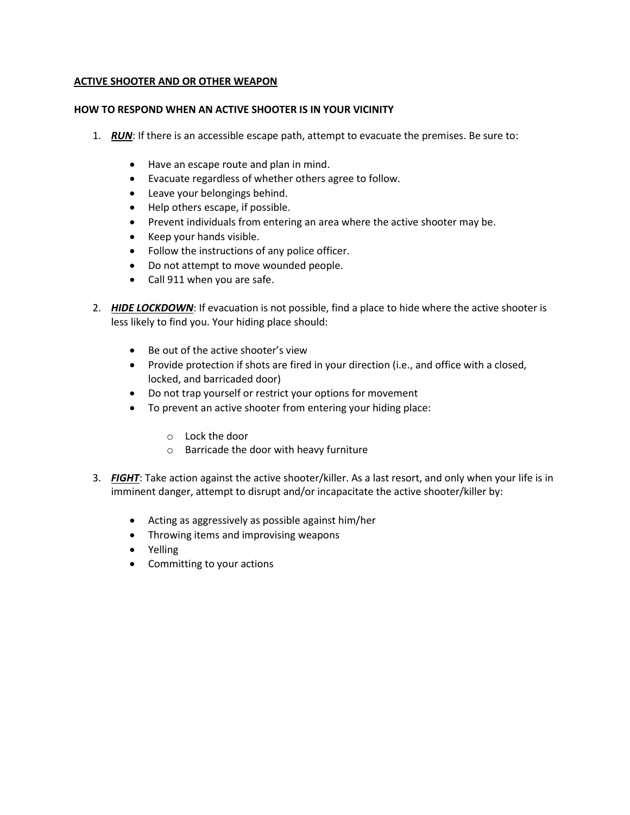# **ACTIVE SHOOTER AND OR OTHER WEAPON**

# **HOW TO RESPOND WHEN AN ACTIVE SHOOTER IS IN YOUR VICINITY**

- 1. *RUN*: If there is an accessible escape path, attempt to evacuate the premises. Be sure to:
	- Have an escape route and plan in mind.
	- Evacuate regardless of whether others agree to follow.
	- Leave your belongings behind.
	- Help others escape, if possible.
	- Prevent individuals from entering an area where the active shooter may be.
	- Keep your hands visible.
	- Follow the instructions of any police officer.
	- Do not attempt to move wounded people.
	- Call 911 when you are safe.
- 2. *HIDE LOCKDOWN*: If evacuation is not possible, find a place to hide where the active shooter is less likely to find you. Your hiding place should:
	- Be out of the active shooter's view
	- Provide protection if shots are fired in your direction (i.e., and office with a closed, locked, and barricaded door)
	- Do not trap yourself or restrict your options for movement
	- To prevent an active shooter from entering your hiding place:
		- o Lock the door
		- o Barricade the door with heavy furniture
- 3. *FIGHT*: Take action against the active shooter/killer. As a last resort, and only when your life is in imminent danger, attempt to disrupt and/or incapacitate the active shooter/killer by:
	- Acting as aggressively as possible against him/her
	- Throwing items and improvising weapons
	- Yelling
	- Committing to your actions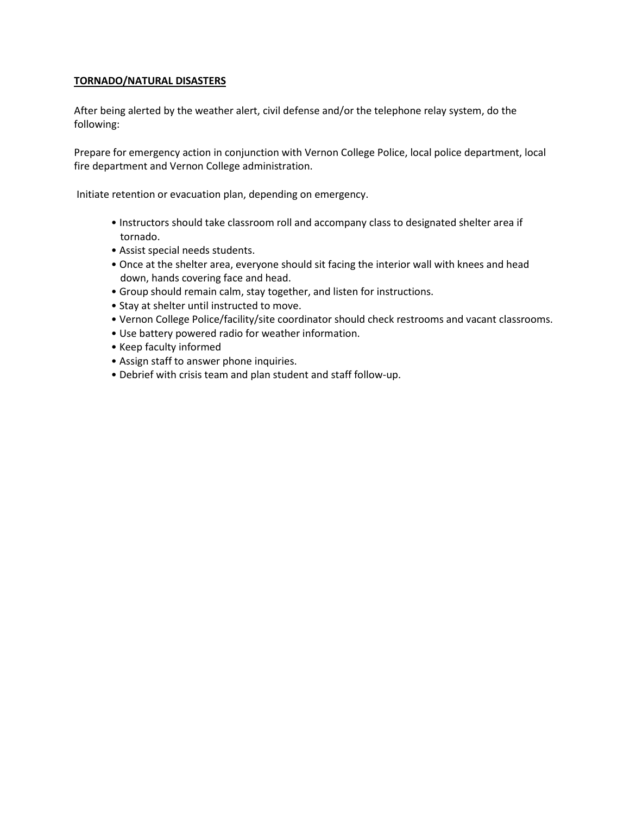# **TORNADO/NATURAL DISASTERS**

After being alerted by the weather alert, civil defense and/or the telephone relay system, do the following:

Prepare for emergency action in conjunction with Vernon College Police, local police department, local fire department and Vernon College administration.

Initiate retention or evacuation plan, depending on emergency.

- Instructors should take classroom roll and accompany class to designated shelter area if tornado.
- Assist special needs students.
- Once at the shelter area, everyone should sit facing the interior wall with knees and head down, hands covering face and head.
- Group should remain calm, stay together, and listen for instructions.
- Stay at shelter until instructed to move.
- Vernon College Police/facility/site coordinator should check restrooms and vacant classrooms.
- Use battery powered radio for weather information.
- Keep faculty informed
- Assign staff to answer phone inquiries.
- Debrief with crisis team and plan student and staff follow-up.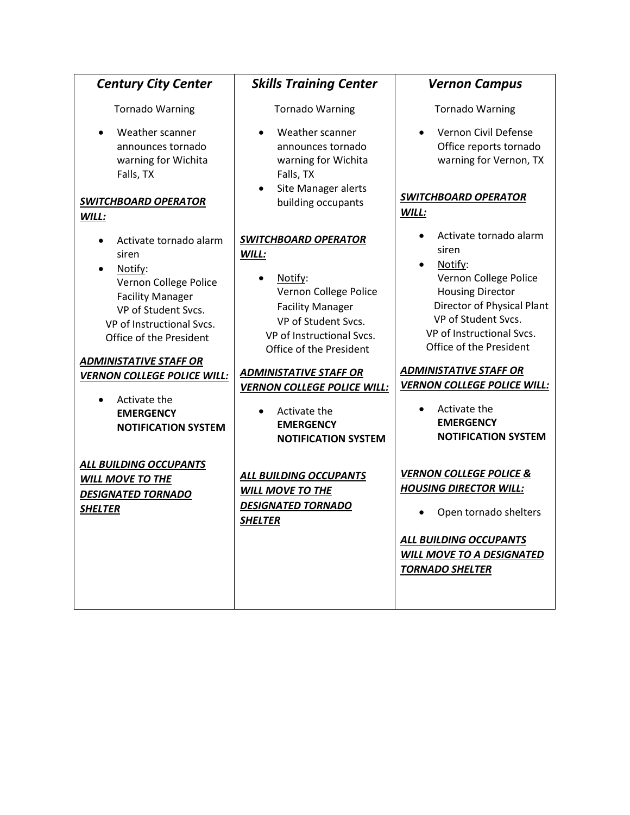| <b>Century City Center</b>                                                                                                                                                                              | <b>Skills Training Center</b>                                                                                                                                                      | <b>Vernon Campus</b>                                                                                                                                                                                        |
|---------------------------------------------------------------------------------------------------------------------------------------------------------------------------------------------------------|------------------------------------------------------------------------------------------------------------------------------------------------------------------------------------|-------------------------------------------------------------------------------------------------------------------------------------------------------------------------------------------------------------|
| <b>Tornado Warning</b>                                                                                                                                                                                  | <b>Tornado Warning</b>                                                                                                                                                             | <b>Tornado Warning</b>                                                                                                                                                                                      |
| Weather scanner<br>announces tornado<br>warning for Wichita<br>Falls, TX<br><b>SWITCHBOARD OPERATOR</b><br>WILL:                                                                                        | Weather scanner<br>announces tornado<br>warning for Wichita<br>Falls, TX<br>Site Manager alerts<br>building occupants                                                              | Vernon Civil Defense<br>Office reports tornado<br>warning for Vernon, TX<br><b>SWITCHBOARD OPERATOR</b><br>WILL:                                                                                            |
| Activate tornado alarm<br>$\bullet$<br>siren<br>Notify:<br>$\bullet$<br>Vernon College Police<br><b>Facility Manager</b><br>VP of Student Svcs.<br>VP of Instructional Svcs.<br>Office of the President | <b>SWITCHBOARD OPERATOR</b><br>WILL:<br>Notify:<br>Vernon College Police<br><b>Facility Manager</b><br>VP of Student Svcs.<br>VP of Instructional Svcs.<br>Office of the President | Activate tornado alarm<br>siren<br>Notify:<br>Vernon College Police<br><b>Housing Director</b><br>Director of Physical Plant<br>VP of Student Svcs.<br>VP of Instructional Svcs.<br>Office of the President |
| <b>ADMINISTATIVE STAFF OR</b><br><b>VERNON COLLEGE POLICE WILL:</b>                                                                                                                                     | <b>ADMINISTATIVE STAFF OR</b>                                                                                                                                                      | <b>ADMINISTATIVE STAFF OR</b>                                                                                                                                                                               |
| Activate the<br><b>EMERGENCY</b><br><b>NOTIFICATION SYSTEM</b>                                                                                                                                          | <b>VERNON COLLEGE POLICE WILL:</b><br>Activate the<br><b>EMERGENCY</b><br><b>NOTIFICATION SYSTEM</b>                                                                               | <b>VERNON COLLEGE POLICE WILL:</b><br>Activate the<br><b>EMERGENCY</b><br><b>NOTIFICATION SYSTEM</b>                                                                                                        |
| ALL BUILDING OCCUPANTS<br><b>WILL MOVE TO THE</b><br><b>DESIGNATED TORNADO</b><br><b>SHELTER</b>                                                                                                        | <b>ALL BUILDING OCCUPANTS</b><br><b>WILL MOVE TO THE</b><br><b>DESIGNATED TORNADO</b><br><b>SHELTER</b>                                                                            | <b>VERNON COLLEGE POLICE &amp;</b><br><b>HOUSING DIRECTOR WILL:</b><br>Open tornado shelters<br><b>ALL BUILDING OCCUPANTS</b><br><b>WILL MOVE TO A DESIGNATED</b><br><b>TORNADO SHELTER</b>                 |